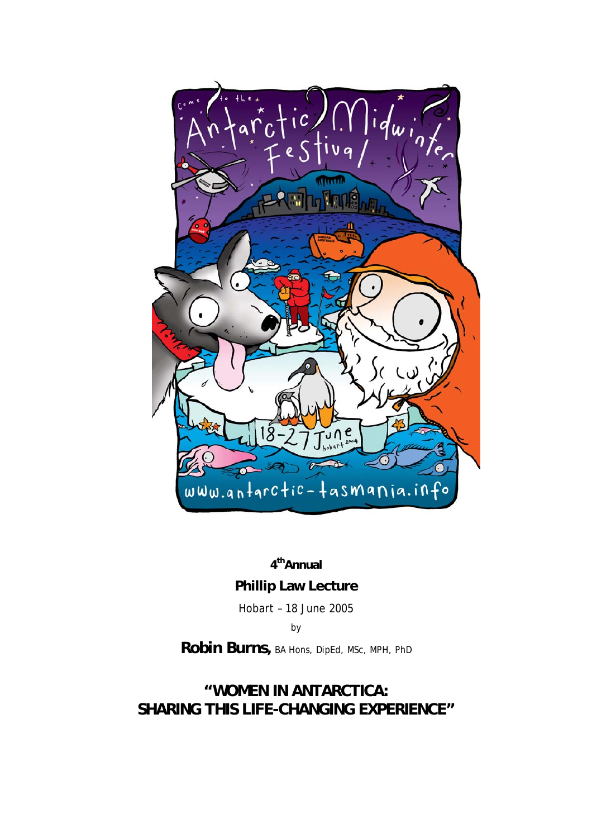

**4thAnnual** 

**Phillip Law Lecture** 

Hobart – 18 June 2005

by

**Robin Burns***,* BA Hons, DipEd, MSc, MPH, PhD

## **"WOMEN IN ANTARCTICA: SHARING THIS LIFE-CHANGING EXPERIENCE"**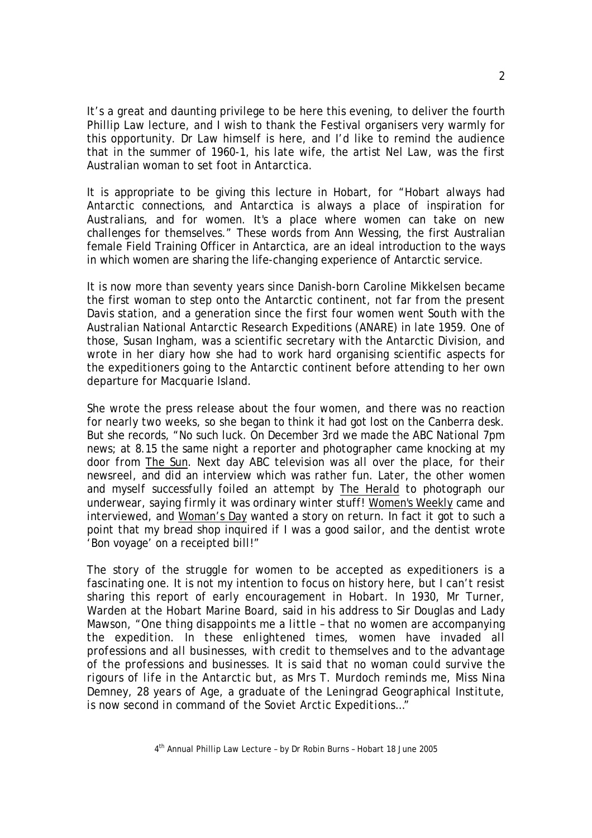It's a great and daunting privilege to be here this evening, to deliver the fourth Phillip Law lecture, and I wish to thank the Festival organisers very warmly for this opportunity. Dr Law himself is here, and I'd like to remind the audience that in the summer of 1960-1, his late wife, the artist Nel Law, was the first Australian woman to set foot in Antarctica.

It is appropriate to be giving this lecture in Hobart, for "*Hobart always had Antarctic connections, and Antarctica is always a place of inspiration for Australians, and for women. It's a place where women can take on new challenges for themselves*." These words from Ann Wessing, the first Australian female Field Training Officer in Antarctica, are an ideal introduction to the ways in which women are sharing the life-changing experience of Antarctic service.

It is now more than seventy years since Danish-born Caroline Mikkelsen became the first woman to step onto the Antarctic continent, not far from the present Davis station, and a generation since the first four women went South with the Australian National Antarctic Research Expeditions (ANARE) in late 1959. One of those, Susan Ingham, was a scientific secretary with the Antarctic Division, and wrote in her diary how she had to work hard organising scientific aspects for the expeditioners going to the Antarctic continent before attending to her own departure for Macquarie Island.

She wrote the press release about the four women, and there was no reaction for nearly two weeks, so she began to think it had got lost on the Canberra desk. But she records, "*No such luck. On December 3rd we made the ABC National 7pm news; at 8.15 the same night a reporter and photographer came knocking at my door from The Sun. Next day ABC television was all over the place, for their newsreel, and did an interview which was rather fun. Later, the other women*  and myself successfully foiled an attempt by The Herald to photograph our *underwear, saying firmly it was ordinary winter stuff! Women's Weekly came and interviewed, and Woman's Day wanted a story on return. In fact it got to such a point that my bread shop inquired if I was a good sailor, and the dentist wrote 'Bon voyage' on a receipted bill!*"

The story of the struggle for women to be accepted as expeditioners is a fascinating one. It is not my intention to focus on history here, but I can't resist sharing this report of early encouragement in Hobart. In 1930, Mr Turner, Warden at the Hobart Marine Board, said in his address to Sir Douglas and Lady Mawson, "*One thing disappoints me a little – that no women are accompanying the expedition. In these enlightened times, women have invaded all professions and all businesses, with credit to themselves and to the advantage of the professions and businesses. It is said that no woman could survive the rigours of life in the Antarctic but, as Mrs T. Murdoch reminds me, Miss Nina Demney, 28 years of Age, a graduate of the Leningrad Geographical Institute, is now second in command of the Soviet Arctic Expeditions…"*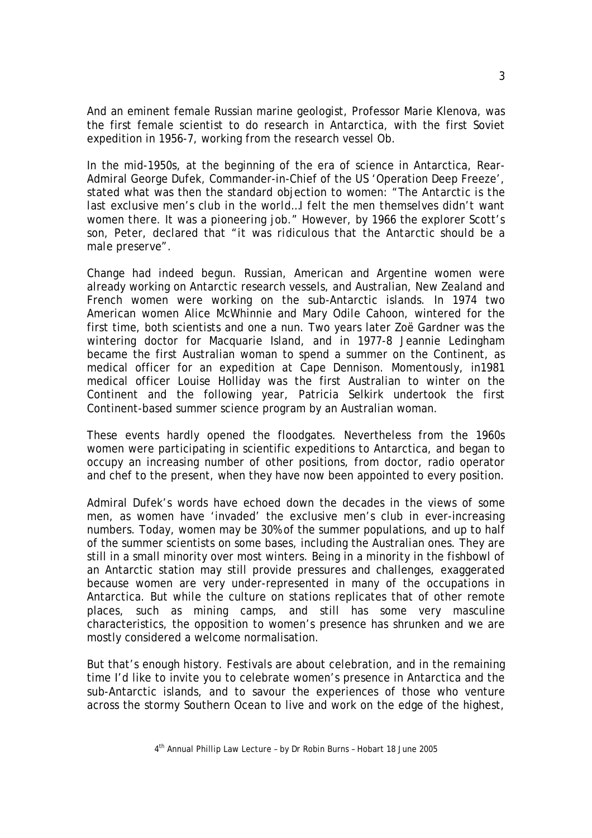And an eminent female Russian marine geologist, Professor Marie Klenova, was the first female scientist to do research in Antarctica, with the first Soviet expedition in 1956-7, working from the research vessel *Ob*.

In the mid-1950s, at the beginning of the era of science in Antarctica, Rear-Admiral George Dufek, Commander-in-Chief of the US 'Operation Deep Freeze', stated what was then the standard objection to women: "*The Antarctic is the*  last exclusive men's club in the world...I felt the men themselves didn't want *women there. It was a pioneering job*." However, by 1966 the explorer Scott's son, Peter, declared that "*it was ridiculous that the Antarctic should be a male preserve*".

Change had indeed begun. Russian, American and Argentine women were already working on Antarctic research vessels, and Australian, New Zealand and French women were working on the sub-Antarctic islands. In 1974 two American women Alice McWhinnie and Mary Odile Cahoon, wintered for the first time, both scientists and one a nun. Two years later Zoë Gardner was the wintering doctor for Macquarie Island, and in 1977-8 Jeannie Ledingham became the first Australian woman to spend a summer on the Continent, as medical officer for an expedition at Cape Dennison. Momentously, in1981 medical officer Louise Holliday was the first Australian to winter on the Continent and the following year, Patricia Selkirk undertook the first Continent-based summer science program by an Australian woman.

These events hardly opened the floodgates. Nevertheless from the 1960s women were participating in scientific expeditions to Antarctica, and began to occupy an increasing number of other positions, from doctor, radio operator and chef to the present, when they have now been appointed to every position.

Admiral Dufek's words have echoed down the decades in the views of some men, as women have 'invaded' the exclusive men's club in ever-increasing numbers. Today, women may be 30% of the summer populations, and up to half of the summer scientists on some bases, including the Australian ones. They are still in a small minority over most winters. Being in a minority in the fishbowl of an Antarctic station may still provide pressures and challenges, exaggerated because women are very under-represented in many of the occupations in Antarctica. But while the culture on stations replicates that of other remote places, such as mining camps, and still has some very masculine characteristics, the opposition to women's presence has shrunken and we are mostly considered a welcome normalisation.

But that's enough history. Festivals are about celebration, and in the remaining time I'd like to invite you to celebrate women's presence in Antarctica and the sub-Antarctic islands, and to savour the experiences of those who venture across the stormy Southern Ocean to live and work on the edge of the highest,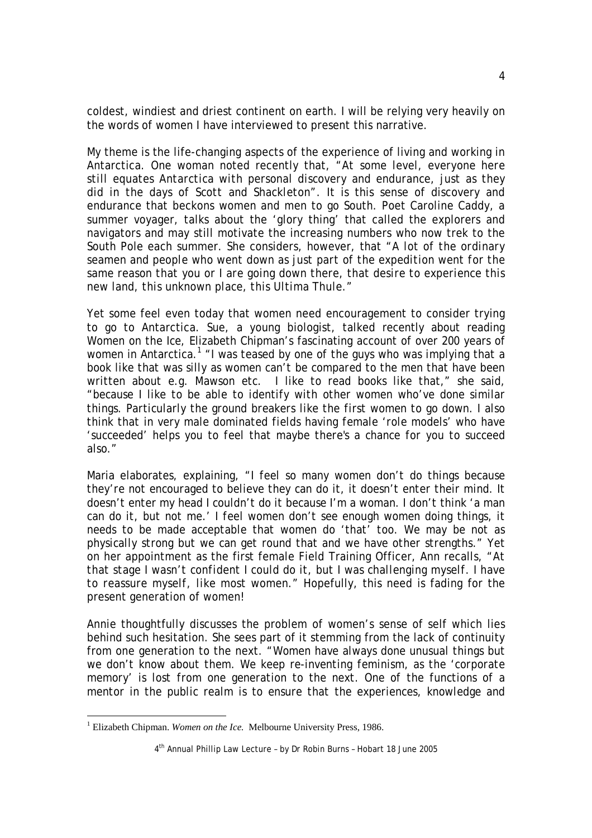coldest, windiest and driest continent on earth. I will be relying very heavily on the words of women I have interviewed to present this narrative.

My theme is the life-changing aspects of the experience of living and working in Antarctica. One woman noted recently that, "*At some level, everyone here still equates Antarctica with personal discovery and endurance, just as they did in the days of Scott and Shackleton*". It is this sense of discovery and endurance that beckons women and men to go South. Poet Caroline Caddy, a summer voyager, talks about the 'glory thing' that called the explorers and navigators and may still motivate the increasing numbers who now trek to the South Pole each summer. She considers, however, that "*A lot of the ordinary seamen and people who went down as just part of the expedition went for the same reason that you or I are going down there, that desire to experience this new land, this unknown place, this Ultima Thule*."

Yet some feel even today that women need encouragement to consider trying to go to Antarctica. Sue, a young biologist, talked recently about reading *Women on the Ice,* Elizabeth Chipman's fascinating account of over 200 years of women in Antarctica.<sup>1</sup> "*I was teased by one of the guys who was implying that a book like that was silly as women can't be compared to the men that have been written about e.g. Mawson etc. I like to read books like that,"* she said, *"because I like to be able to identify with other women who've done similar things. Particularly the ground breakers like the first women to go down. I also think that in very male dominated fields having female 'role models' who have 'succeeded' helps you to feel that maybe there's a chance for you to succeed also*."

Maria elaborates, explaining, "*I feel so many women don't do things because they're not encouraged to believe they can do it, it doesn't enter their mind. It doesn't enter my head I couldn't do it because I'm a woman. I don't think 'a man can do it, but not me.' I feel women don't see enough women doing things, it needs to be made acceptable that women do 'that' too. We may be not as physically strong but we can get round that and we have other strengths*." Yet on her appointment as the first female Field Training Officer, Ann recalls, "*At that stage I wasn't confident I could do it, but I was challenging myself. I have to reassure myself, like most women*." Hopefully, this need is fading for the present generation of women!

Annie thoughtfully discusses the problem of women's sense of self which lies behind such hesitation. She sees part of it stemming from the lack of continuity from one generation to the next. "*Women have always done unusual things but we don't know about them. We keep re-inventing feminism, as the 'corporate memory' is lost from one generation to the next. One of the functions of a mentor in the public realm is to ensure that the experiences, knowledge and* 

<sup>&</sup>lt;sup>1</sup> Elizabeth Chipman. *Women on the Ice*. Melbourne University Press, 1986.

<sup>4</sup>th Annual Phillip Law Lecture – by Dr Robin Burns – Hobart 18 June 2005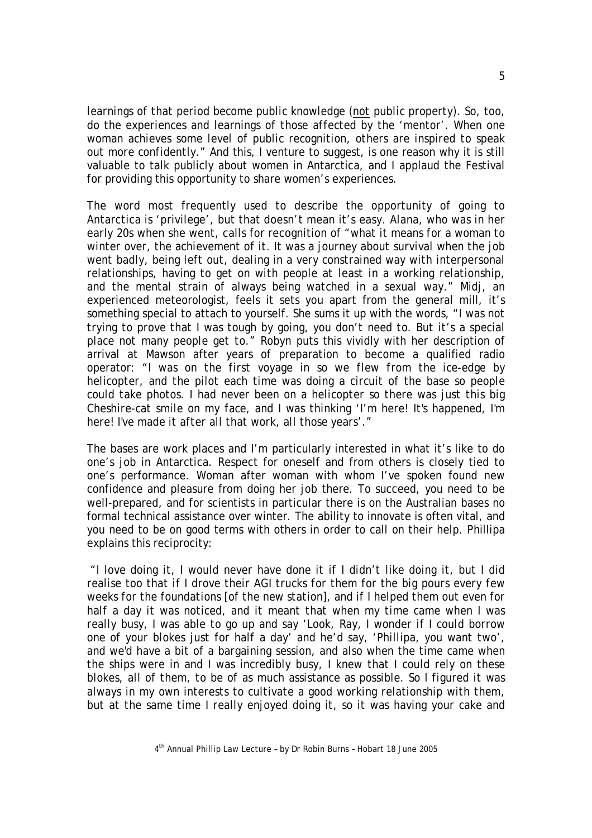*learnings of that period become public knowledge (not public property). So, too, do the experiences and learnings of those affected by the 'mentor'. When one woman achieves some level of public recognition, others are inspired to speak out more confidently.*" And this, I venture to suggest, is one reason why it is still valuable to talk publicly about women in Antarctica, and I applaud the Festival for providing this opportunity to share women's experiences.

The word most frequently used to describe the opportunity of going to Antarctica is 'privilege', but that doesn't mean it's easy. Alana, who was in her early 20s when she went, calls for recognition of "*what it means for a woman to winter over, the achievement of it. It was a journey about survival when the job went badly, being left out, dealing in a very constrained way with interpersonal relationships, having to get on with people at least in a working relationship, and the mental strain of always being watched in a sexual way*." Midj, an experienced meteorologist, feels it sets you apart from the general mill, it's something special to attach to yourself. She sums it up with the words, "*I was not trying to prove that I was tough by going, you don't need to. But it's a special place not many people get to*." Robyn puts this vividly with her description of arrival at Mawson after years of preparation to become a qualified radio operator: "*I was on the first voyage in so we flew from the ice-edge by helicopter, and the pilot each time was doing a circuit of the base so people could take photos. I had never been on a helicopter so there was just this big Cheshire-cat smile on my face, and I was thinking 'I'm here! It's happened, I'm here! I've made it after all that work, all those years'.*"

The bases are work places and I'm particularly interested in what it's like to do one's job in Antarctica. Respect for oneself and from others is closely tied to one's performance. Woman after woman with whom I've spoken found new confidence and pleasure from doing her job there. To succeed, you need to be well-prepared, and for scientists in particular there is on the Australian bases no formal technical assistance over winter. The ability to innovate is often vital, and you need to be on good terms with others in order to call on their help. Phillipa explains this reciprocity:

 "*I love doing it, I would never have done it if I didn't like doing it, but I did realise too that if I drove their AGI trucks for them for the big pours every few weeks for the foundations [of the new station], and if I helped them out even for half a day it was noticed, and it meant that when my time came when I was really busy, I was able to go up and say 'Look, Ray, I wonder if I could borrow one of your blokes just for half a day' and he'd say, 'Phillipa, you want two', and we'd have a bit of a bargaining session, and also when the time came when the ships were in and I was incredibly busy, I knew that I could rely on these blokes, all of them, to be of as much assistance as possible. So I figured it was always in my own interests to cultivate a good working relationship with them, but at the same time I really enjoyed doing it, so it was having your cake and*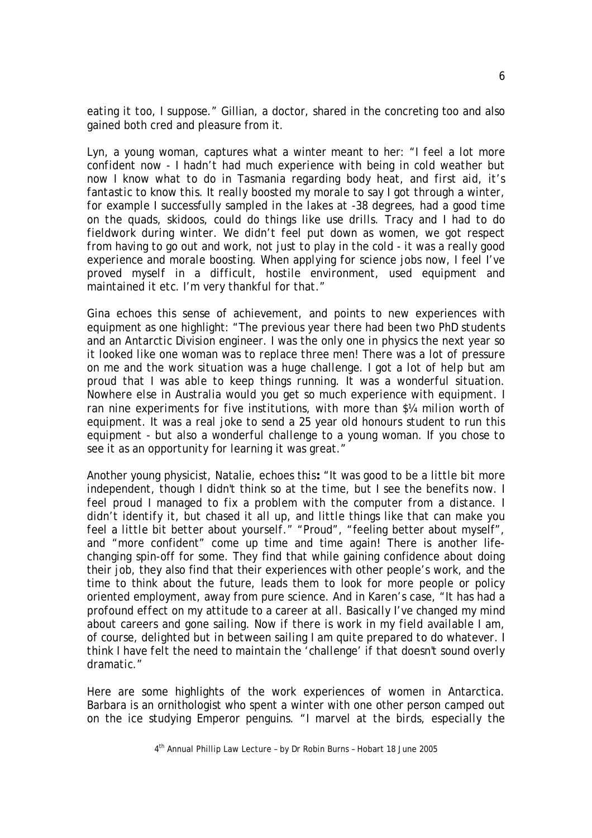*eating it too, I suppose*." Gillian, a doctor, shared in the concreting too and also gained both cred and pleasure from it.

Lyn, a young woman, captures what a winter meant to her: *"I feel a lot more confident now - I hadn't had much experience with being in cold weather but now I know what to do in Tasmania regarding body heat, and first aid, it's fantastic to know this. It really boosted my morale to say I got through a winter, for example I successfully sampled in the lakes at -38 degrees, had a good time on the quads, skidoos, could do things like use drills. Tracy and I had to do fieldwork during winter. We didn't feel put down as women, we got respect from having to go out and work, not just to play in the cold - it was a really good experience and morale boosting. When applying for science jobs now, I feel I've proved myself in a difficult, hostile environment, used equipment and maintained it etc. I'm very thankful for that*."

Gina echoes this sense of achievement, and points to new experiences with equipment as one highlight: "*The previous year there had been two PhD students and an Antarctic Division engineer. I was the only one in physics the next year so it looked like one woman was to replace three men! There was a lot of pressure on me and the work situation was a huge challenge. I got a lot of help but am proud that I was able to keep things running. It was a wonderful situation. Nowhere else in Australia would you get so much experience with equipment. I ran nine experiments for five institutions, with more than \$¼ milion worth of equipment. It was a real joke to send a 25 year old honours student to run this equipment - but also a wonderful challenge to a young woman. If you chose to see it as an opportunity for learning it was great*."

Another young physicist, Natalie, echoes this**:** "*It was good to be a little bit more independent, though I didn't think so at the time, but I see the benefits now. I feel proud I managed to fix a problem with the computer from a distance. I didn't identify it, but chased it all up, and little things like that can make you feel a little bit better about yourself*." "Proud", "feeling better about myself", and "more confident" come up time and time again! There is another lifechanging spin-off for some. They find that while gaining confidence about doing their job, they also find that their experiences with other people's work, and the time to think about the future, leads them to look for more people or policy oriented employment, away from pure science. And in Karen's case, "*It has had a profound effect on my attitude to a career at all. Basically I've changed my mind about careers and gone sailing. Now if there is work in my field available I am, of course, delighted but in between sailing I am quite prepared to do whatever. I think I have felt the need to maintain the 'challenge' if that doesn't sound overly dramatic*."

Here are some highlights of the work experiences of women in Antarctica. Barbara is an ornithologist who spent a winter with one other person camped out on the ice studying Emperor penguins. "*I marvel at the birds, especially the*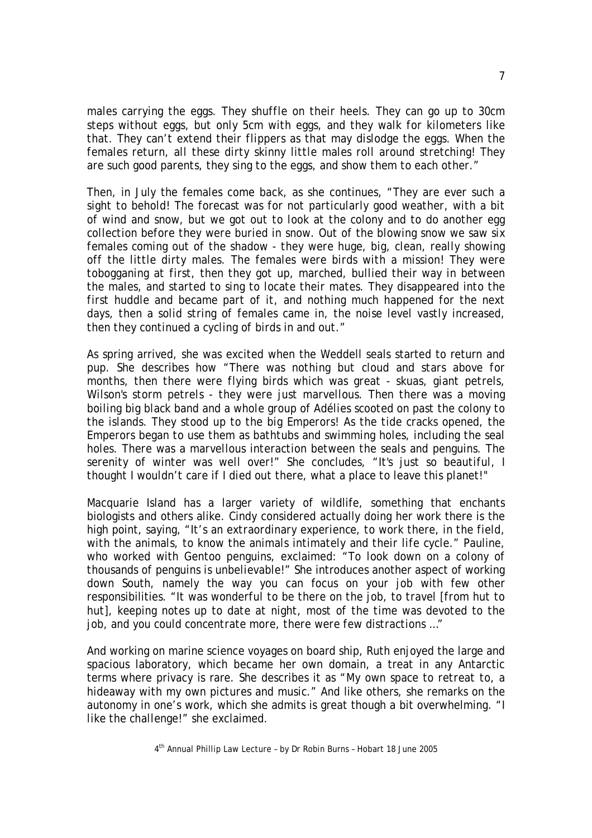*males carrying the eggs. They shuffle on their heels. They can go up to 30cm steps without eggs, but only 5cm with eggs, and they walk for kilometers like that. They can't extend their flippers as that may dislodge the eggs. When the females return, all these dirty skinny little males roll around stretching! They are such good parents, they sing to the eggs, and show them to each other*."

Then, in July the females come back, as she continues, "*They are ever such a sight to behold! The forecast was for not particularly good weather, with a bit of wind and snow, but we got out to look at the colony and to do another egg collection before they were buried in snow. Out of the blowing snow we saw six females coming out of the shadow - they were huge, big, clean, really showing off the little dirty males. The females were birds with a mission! They were tobogganing at first, then they got up, marched, bullied their way in between the males, and started to sing to locate their mates. They disappeared into the first huddle and became part of it, and nothing much happened for the next days, then a solid string of females came in, the noise level vastly increased, then they continued a cycling of birds in and out*."

As spring arrived, she was excited when the Weddell seals started to return and pup. She describes how "*There was nothing but cloud and stars above for months, then there were flying birds which was great - skuas, giant petrels, Wilson's storm petrels - they were just marvellous. Then there was a moving boiling big black band and a whole group of Adélies scooted on past the colony to the islands. They stood up to the big Emperors! As the tide cracks opened, the Emperors began to use them as bathtubs and swimming holes, including the seal holes. There was a marvellous interaction between the seals and penguins. The serenity of winter was well over!"* She concludes*, "It's just so beautiful, I thought I wouldn't care if I died out there, what a place to leave this planet!*"

Macquarie Island has a larger variety of wildlife, something that enchants biologists and others alike. Cindy considered actually doing her work there is the high point, saying, "*It's an extraordinary experience, to work there, in the field, with the animals, to know the animals intimately and their life cycle*." Pauline, who worked with Gentoo penguins, exclaimed: "*To look down on a colony of thousands of penguins is unbelievable!*" She introduces another aspect of working down South, namely the way you can focus on your job with few other responsibilities. "*It was wonderful to be there on the job, to travel [from hut to hut], keeping notes up to date at night, most of the time was devoted to the job, and you could concentrate more, there were few distractions* …"

And working on marine science voyages on board ship, Ruth enjoyed the large and spacious laboratory, which became her own domain, a treat in any Antarctic terms where privacy is rare. She describes it as "*My own space to retreat to, a hideaway with my own pictures and music*." And like others, she remarks on the autonomy in one's work, which she admits is great though a bit overwhelming*. "I like the challenge!*" she exclaimed.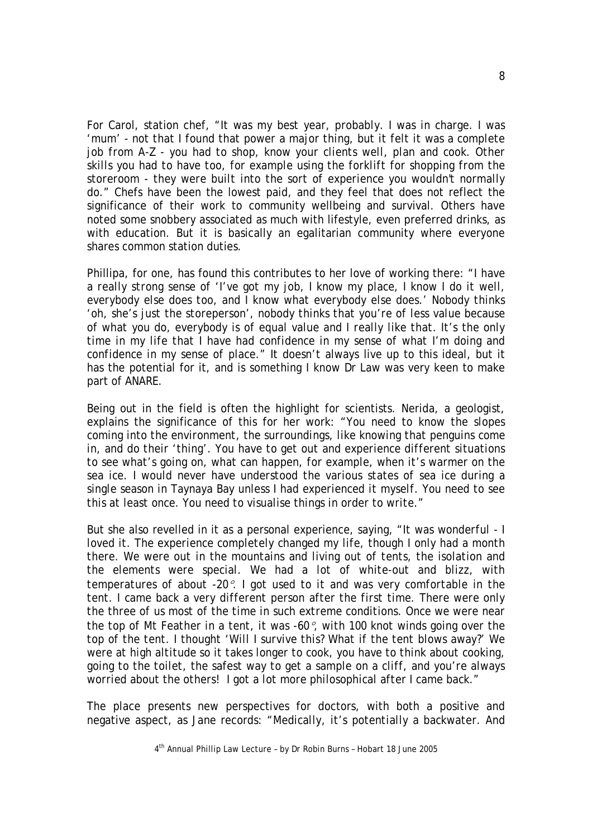For Carol, station chef, "*It was my best year, probably. I was in charge. I was 'mum' - not that I found that power a major thing, but it felt it was a complete job from A-Z - you had to shop, know your clients well, plan and cook. Other skills you had to have too, for example using the forklift for shopping from the storeroom - they were built into the sort of experience you wouldn't normally do*." Chefs have been the lowest paid, and they feel that does not reflect the significance of their work to community wellbeing and survival. Others have noted some snobbery associated as much with lifestyle, even preferred drinks, as with education. But it is basically an egalitarian community where everyone shares common station duties.

Phillipa, for one, has found this contributes to her love of working there: "*I have a really strong sense of 'I've got my job, I know my place, I know I do it well, everybody else does too, and I know what everybody else does.' Nobody thinks 'oh, she's just the storeperson', nobody thinks that you're of less value because of what you do, everybody is of equal value and I really like that. It's the only time in my life that I have had confidence in my sense of what I'm doing and confidence in my sense of place*." It doesn't always live up to this ideal, but it has the potential for it, and is something I know Dr Law was very keen to make part of ANARE.

Being out in the field is often the highlight for scientists. Nerida, a geologist, explains the significance of this for her work: "*You need to know the slopes coming into the environment, the surroundings, like knowing that penguins come in, and do their 'thing'. You have to get out and experience different situations to see what's going on, what can happen, for example, when it's warmer on the sea ice. I would never have understood the various states of sea ice during a single season in Taynaya Bay unless I had experienced it myself. You need to see this at least once. You need to visualise things in order to write*."

But she also revelled in it as a personal experience, saying, "*It was wonderful - I loved it. The experience completely changed my life, though I only had a month there. We were out in the mountains and living out of tents, the isolation and the elements were special. We had a lot of white-out and blizz, with temperatures of about -20*°*. I got used to it and was very comfortable in the tent. I came back a very different person after the first time. There were only the three of us most of the time in such extreme conditions. Once we were near the top of Mt Feather in a tent, it was -60*°*, with 100 knot winds going over the top of the tent. I thought 'Will I survive this? What if the tent blows away?' We were at high altitude so it takes longer to cook, you have to think about cooking, going to the toilet, the safest way to get a sample on a cliff, and you're always worried about the others! I got a lot more philosophical after I came back*."

The place presents new perspectives for doctors, with both a positive and negative aspect, as Jane records: "*Medically, it's potentially a backwater. And* 

4th Annual Phillip Law Lecture – by Dr Robin Burns – Hobart 18 June 2005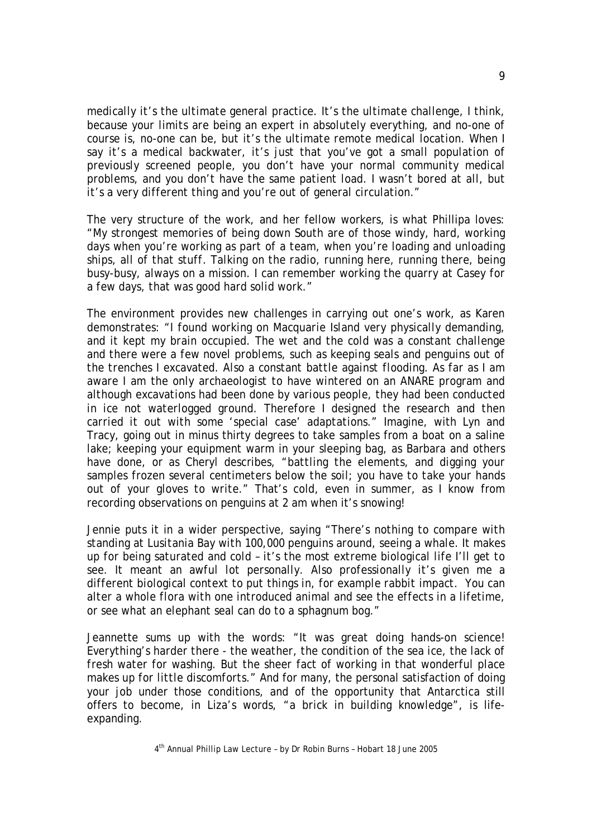*medically it's the ultimate general practice. It's the ultimate challenge, I think, because your limits are being an expert in absolutely everything, and no-one of course is, no-one can be, but it's the ultimate remote medical location. When I say it's a medical backwater, it's just that you've got a small population of previously screened people, you don't have your normal community medical problems, and you don't have the same patient load. I wasn't bored at all, but it's a very different thing and you're out of general circulation*."

The very structure of the work, and her fellow workers, is what Phillipa loves: "*My strongest memories of being down South are of those windy, hard, working*  days when you're working as part of a team, when you're loading and unloading *ships, all of that stuff. Talking on the radio, running here, running there, being busy-busy, always on a mission. I can remember working the quarry at Casey for a few days, that was good hard solid work."* 

The environment provides new challenges in carrying out one's work, as Karen demonstrates: "*I found working on Macquarie Island very physically demanding,*  and it kept my brain occupied. The wet and the cold was a constant challenge *and there were a few novel problems, such as keeping seals and penguins out of the trenches I excavated. Also a constant battle against flooding. As far as I am aware I am the only archaeologist to have wintered on an ANARE program and although excavations had been done by various people, they had been conducted in ice not waterlogged ground. Therefore I designed the research and then carried it out with some 'special case' adaptations*." Imagine, with Lyn and Tracy, going out in minus thirty degrees to take samples from a boat on a saline lake; keeping your equipment warm in your sleeping bag, as Barbara and others have done, or as Cheryl describes, "*battling the elements, and digging your samples frozen several centimeters below the soil; you have to take your hands out of your gloves to write*." That's cold, even in summer, as I know from recording observations on penguins at 2 am when it's snowing!

Jennie puts it in a wider perspective, saying "*There's nothing to compare with standing at Lusitania Bay with 100,000 penguins around, seeing a whale. It makes up for being saturated and cold – it's the most extreme biological life I'll get to see. It meant an awful lot personally. Also professionally it's given me a different biological context to put things in, for example rabbit impact. You can alter a whole flora with one introduced animal and see the effects in a lifetime, or see what an elephant seal can do to a sphagnum bog*."

Jeannette sums up with the words: "*It was great doing hands-on science! Everything's harder there - the weather, the condition of the sea ice, the lack of fresh water for washing. But the sheer fact of working in that wonderful place makes up for little discomforts*." And for many, the personal satisfaction of doing your job under those conditions, and of the opportunity that Antarctica still offers to become, in Liza's words, "*a brick in building knowledge*", is lifeexpanding.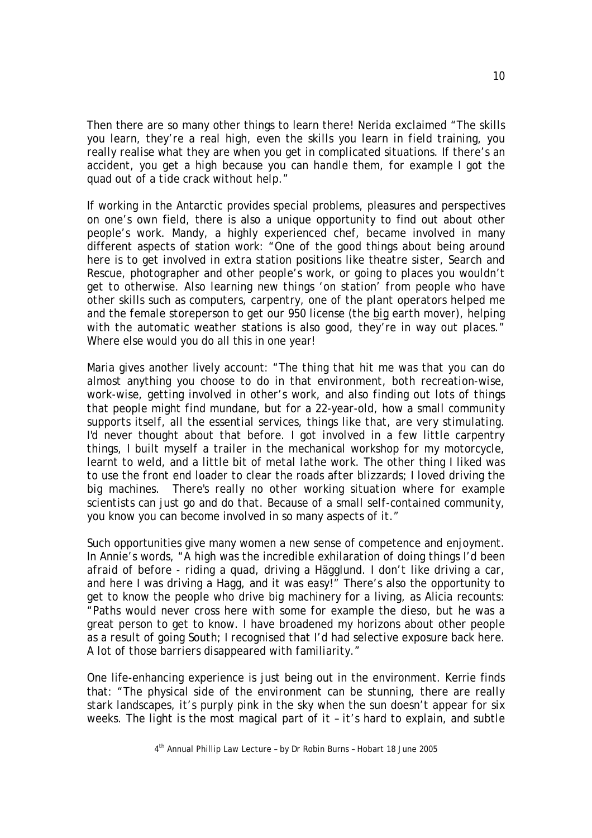Then there are so many other things to learn there! Nerida exclaimed "*The skills you learn, they're a real high, even the skills you learn in field training, you really realise what they are when you get in complicated situations. If there's an accident, you get a high because you can handle them, for example I got the quad out of a tide crack without help*."

If working in the Antarctic provides special problems, pleasures and perspectives on one's own field, there is also a unique opportunity to find out about other people's work. Mandy, a highly experienced chef, became involved in many different aspects of station work: "*One of the good things about being around here is to get involved in extra station positions like theatre sister, Search and Rescue, photographer and other people's work, or going to places you wouldn't get to otherwise. Also learning new things 'on station' from people who have other skills such as computers, carpentry, one of the plant operators helped me and the female storeperson to get our 950 license (the big earth mover), helping with the automatic weather stations is also good, they're in way out places*." Where else would you do all this in one year!

Maria gives another lively account: "*The thing that hit me was that you can do almost anything you choose to do in that environment, both recreation-wise, work-wise, getting involved in other's work, and also finding out lots of things that people might find mundane, but for a 22-year-old, how a small community supports itself, all the essential services, things like that, are very stimulating. I'd never thought about that before. I got involved in a few little carpentry things, I built myself a trailer in the mechanical workshop for my motorcycle, learnt to weld, and a little bit of metal lathe work. The other thing I liked was to use the front end loader to clear the roads after blizzards; I loved driving the big machines. There's really no other working situation where for example scientists can just go and do that. Because of a small self-contained community, you know you can become involved in so many aspects of it*."

Such opportunities give many women a new sense of competence and enjoyment. In Annie's words, "*A high was the incredible exhilaration of doing things I'd been afraid of before - riding a quad, driving a Hägglund. I don't like driving a car, and here I was driving a Hagg, and it was easy!*" There's also the opportunity to get to know the people who drive big machinery for a living, as Alicia recounts: "*Paths would never cross here with some for example the dieso, but he was a great person to get to know. I have broadened my horizons about other people as a result of going South; I recognised that I'd had selective exposure back here. A lot of those barriers disappeared with familiarity*."

One life-enhancing experience is just being out in the environment. Kerrie finds that: "*The physical side of the environment can be stunning, there are really stark landscapes, it's purply pink in the sky when the sun doesn't appear for six weeks. The light is the most magical part of it – it's hard to explain, and subtle*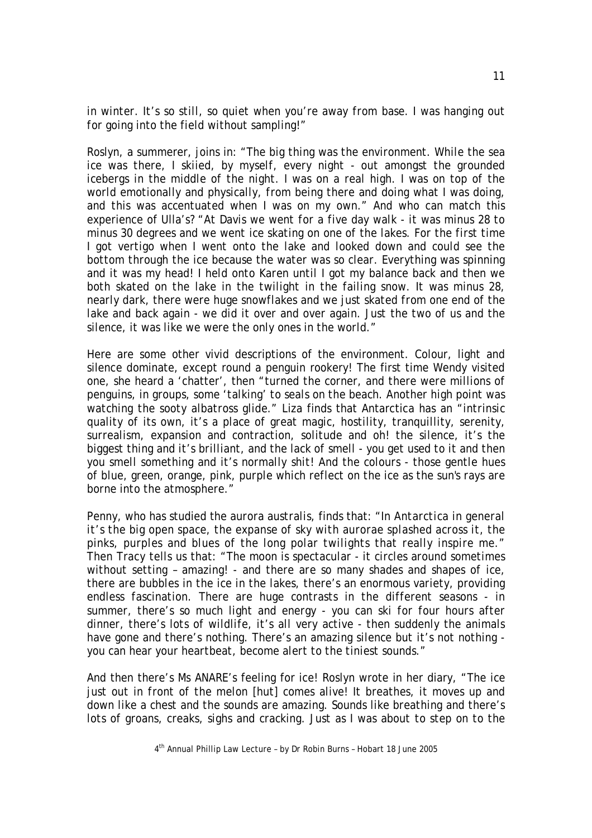*in winter. It's so still, so quiet when you're away from base. I was hanging out for going into the field without sampling!*"

Roslyn, a summerer, joins in: "*The big thing was the environment. While the sea ice was there, I skiied, by myself, every night - out amongst the grounded icebergs in the middle of the night. I was on a real high. I was on top of the world emotionally and physically, from being there and doing what I was doing, and this was accentuated when I was on my own*." And who can match this experience of Ulla's? "*At Davis we went for a five day walk - it was minus 28 to minus 30 degrees and we went ice skating on one of the lakes. For the first time I got vertigo when I went onto the lake and looked down and could see the bottom through the ice because the water was so clear. Everything was spinning and it was my head! I held onto Karen until I got my balance back and then we both skated on the lake in the twilight in the failing snow. It was minus 28, nearly dark, there were huge snowflakes and we just skated from one end of the*  lake and back again - we did it over and over again. Just the two of us and the *silence, it was like we were the only ones in the world*."

Here are some other vivid descriptions of the environment. Colour, light and silence dominate, except round a penguin rookery! The first time Wendy visited one, she heard a 'chatter', then "*turned the corner, and there were millions of penguins, in groups, some 'talking' to seals on the beach. Another high point was watching the sooty albatross glide*." Liza finds that Antarctica has an "*intrinsic quality of its own, it's a place of great magic, hostility, tranquillity, serenity, surrealism, expansion and contraction, solitude and oh! the silence, it's the biggest thing and it's brilliant, and the lack of smell - you get used to it and then you smell something and it's normally shit! And the colours - those gentle hues of blue, green, orange, pink, purple which reflect on the ice as the sun's rays are borne into the atmosphere.*"

Penny, who has studied the *aurora australis*, finds that: "*In Antarctica in general it's the big open space, the expanse of sky with aurorae splashed across it, the pinks, purples and blues of the long polar twilights that really inspire me*." Then Tracy tells us that: "*The moon is spectacular - it circles around sometimes without setting – amazing! - and there are so many shades and shapes of ice, there are bubbles in the ice in the lakes, there's an enormous variety, providing endless fascination. There are huge contrasts in the different seasons - in summer, there's so much light and energy - you can ski for four hours after dinner, there's lots of wildlife, it's all very active - then suddenly the animals have gone and there's nothing. There's an amazing silence but it's not nothing you can hear your heartbeat, become alert to the tiniest sounds*."

And then there's Ms ANARE's feeling for ice! Roslyn wrote in her diary, "*The ice just out in front of the melon [hut] comes alive! It breathes, it moves up and down like a chest and the sounds are amazing. Sounds like breathing and there's lots of groans, creaks, sighs and cracking. Just as I was about to step on to the*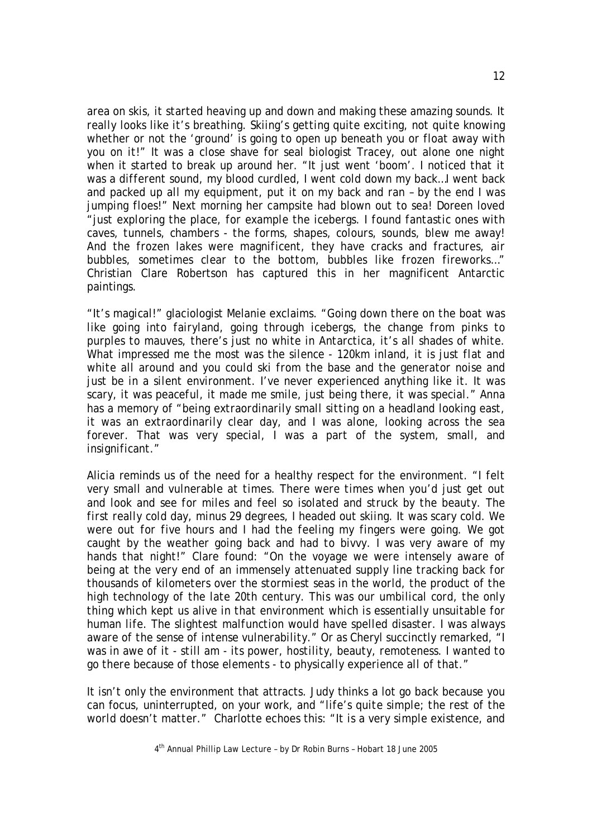*area on skis, it started heaving up and down and making these amazing sounds. It really looks like it's breathing. Skiing's getting quite exciting, not quite knowing whether or not the 'ground' is going to open up beneath you or float away with you on it!*" It was a close shave for seal biologist Tracey, out alone one night when it started to break up around her. "*It just went 'boom'. I noticed that it was a different sound, my blood curdled, I went cold down my back…I went back and packed up all my equipment, put it on my back and ran – by the end I was jumping floes*!" Next morning her campsite had blown out to sea! Doreen loved *"just exploring the place, for example the icebergs. I found fantastic ones with caves, tunnels, chambers - the forms, shapes, colours, sounds, blew me away! And the frozen lakes were magnificent, they have cracks and fractures, air bubbles, sometimes clear to the bottom, bubbles like frozen fireworks*…" Christian Clare Robertson has captured this in her magnificent Antarctic paintings.

"*It's magical!*" glaciologist Melanie exclaims. "*Going down there on the boat was like going into fairyland, going through icebergs, the change from pinks to purples to mauves, there's just no white in Antarctica, it's all shades of white. What impressed me the most was the silence - 120km inland, it is just flat and white all around and you could ski from the base and the generator noise and just be in a silent environment. I've never experienced anything like it. It was scary, it was peaceful, it made me smile, just being there, it was special*." Anna has a memory of "*being extraordinarily small sitting on a headland looking east, it was an extraordinarily clear day, and I was alone, looking across the sea forever. That was very special, I was a part of the system, small, and insignificant*."

Alicia reminds us of the need for a healthy respect for the environment. "*I felt very small and vulnerable at times. There were times when you'd just get out and look and see for miles and feel so isolated and struck by the beauty. The first really cold day, minus 29 degrees, I headed out skiing. It was scary cold. We were out for five hours and I had the feeling my fingers were going. We got caught by the weather going back and had to bivvy. I was very aware of my hands that night!*" Clare found: "*On the voyage we were intensely aware of being at the very end of an immensely attenuated supply line tracking back for thousands of kilometers over the stormiest seas in the world, the product of the high technology of the late 20th century. This was our umbilical cord, the only thing which kept us alive in that environment which is essentially unsuitable for human life. The slightest malfunction would have spelled disaster. I was always aware of the sense of intense vulnerability*." Or as Cheryl succinctly remarked, "*I was in awe of it - still am - its power, hostility, beauty, remoteness. I wanted to go there because of those elements - to physically experience all of that*."

It isn't only the environment that attracts. Judy thinks a lot go back because you can focus, uninterrupted, on your work, and "*life's quite simple; the rest of the world doesn't matter*." Charlotte echoes this: "*It is a very simple existence, and*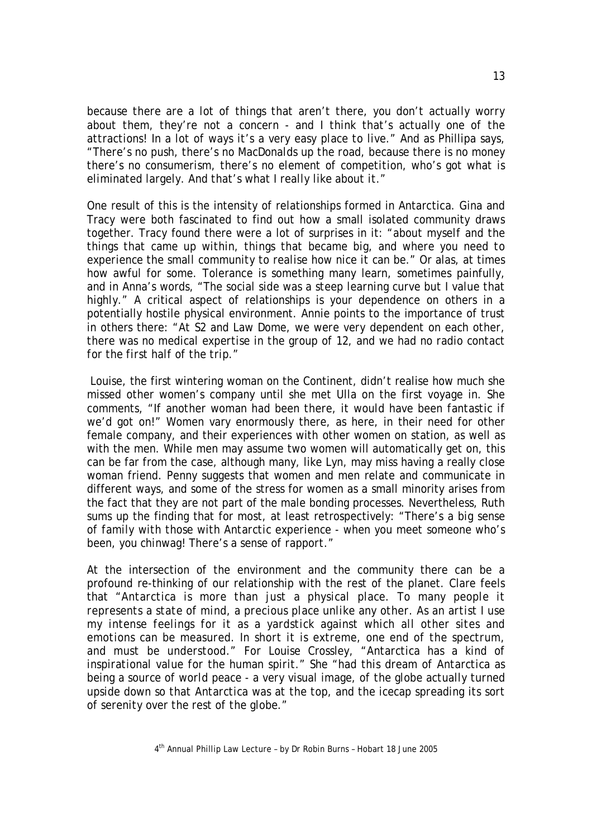*because there are a lot of things that aren't there, you don't actually worry about them, they're not a concern - and I think that's actually one of the attractions! In a lot of ways it's a very easy place to live*." And as Phillipa says, "*There's no push, there's no MacDonalds up the road, because there is no money there's no consumerism, there's no element of competition, who's got what is eliminated largely. And that's what I really like about it*."

One result of this is the intensity of relationships formed in Antarctica. Gina and Tracy were both fascinated to find out how a small isolated community draws together. Tracy found there were a lot of surprises in it: "*about myself and the things that came up within, things that became big, and where you need to experience the small community to realise how nice it can be*." Or alas, at times how awful for some. Tolerance is something many learn, sometimes painfully, and in Anna's words, "*The social side was a steep learning curve but I value that highly*." A critical aspect of relationships is your dependence on others in a potentially hostile physical environment. Annie points to the importance of trust in others there: "*At S2 and Law Dome, we were very dependent on each other, there was no medical expertise in the group of 12, and we had no radio contact for the first half of the trip*."

 Louise, the first wintering woman on the Continent, didn't realise how much she missed other women's company until she met Ulla on the first voyage in. She comments, "*If another woman had been there, it would have been fantastic if we'd got on!*" Women vary enormously there, as here, in their need for other female company, and their experiences with other women on station, as well as with the men. While men may assume two women will automatically get on, this can be far from the case, although many, like Lyn, may miss having a really close woman friend. Penny suggests that women and men relate and communicate in different ways, and some of the stress for women as a small minority arises from the fact that they are not part of the male bonding processes. Nevertheless, Ruth sums up the finding that for most, at least retrospectively: "*There's a big sense of family with those with Antarctic experience - when you meet someone who's been, you chinwag! There's a sense of rapport*."

At the intersection of the environment and the community there can be a profound re-thinking of our relationship with the rest of the planet. Clare feels that "*Antarctica is more than just a physical place. To many people it represents a state of mind, a precious place unlike any other. As an artist I use my intense feelings for it as a yardstick against which all other sites and emotions can be measured. In short it is extreme, one end of the spectrum, and must be understood*." For Louise Crossley, "*Antarctica has a kind of inspirational value for the human spirit.*" She "*had this dream of Antarctica as being a source of world peace - a very visual image, of the globe actually turned upside down so that Antarctica was at the top, and the icecap spreading its sort of serenity over the rest of the globe*."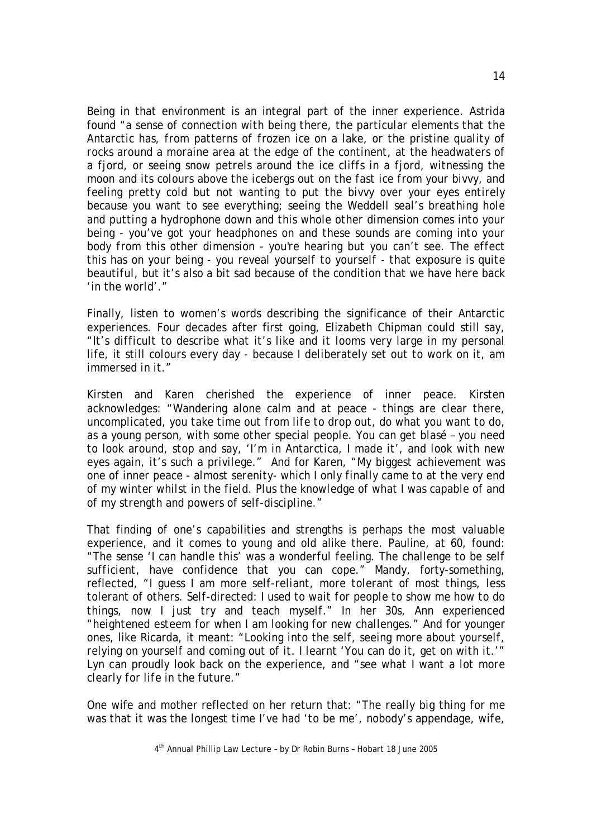Being in that environment is an integral part of the inner experience. Astrida found "*a sense of connection with being there, the particular elements that the Antarctic has, from patterns of frozen ice on a lake, or the pristine quality of rocks around a moraine area at the edge of the continent, at the headwaters of a fjord, or seeing snow petrels around the ice cliffs in a fjord, witnessing the moon and its colours above the icebergs out on the fast ice from your bivvy, and feeling pretty cold but not wanting to put the bivvy over your eyes entirely because you want to see everything; seeing the Weddell seal's breathing hole and putting a hydrophone down and this whole other dimension comes into your being - you've got your headphones on and these sounds are coming into your body from this other dimension - you're hearing but you can't see. The effect this has on your being - you reveal yourself to yourself - that exposure is quite beautiful, but it's also a bit sad because of the condition that we have here back 'in the world'*."

Finally, listen to women's words describing the significance of their Antarctic experiences. Four decades after first going, Elizabeth Chipman could still say, "*It's difficult to describe what it's like and it looms very large in my personal life, it still colours every day - because I deliberately set out to work on it, am immersed in it*."

Kirsten and Karen cherished the experience of inner peace. Kirsten acknowledges: "*Wandering alone calm and at peace - things are clear there, uncomplicated, you take time out from life to drop out, do what you want to do, as a young person, with some other special people. You can get blasé – you need to look around, stop and say, 'I'm in Antarctica, I made it', and look with new eyes again, it's such a privilege*." And for Karen, "*My biggest achievement was one of inner peace - almost serenity- which I only finally came to at the very end of my winter whilst in the field. Plus the knowledge of what I was capable of and of my strength and powers of self-discipline*."

That finding of one's capabilities and strengths is perhaps the most valuable experience, and it comes to young and old alike there. Pauline, at 60, found: "*The sense 'I can handle this' was a wonderful feeling. The challenge to be self sufficient, have confidence that you can cope*." Mandy, forty-something, reflected, "*I guess I am more self-reliant, more tolerant of most things, less tolerant of others. Self-directed: I used to wait for people to show me how to do things, now I just try and teach myself*." In her 30s, Ann experienced "*heightened esteem for when I am looking for new challenges.*" And for younger ones, like Ricarda, it meant: *"Looking into the self, seeing more about yourself, relying on yourself and coming out of it. I learnt 'You can do it, get on with it*.'" Lyn can proudly look back on the experience, and "*see what I want a lot more clearly for life in the future*."

One wife and mother reflected on her return that: "*The really big thing for me was that it was the longest time I've had 'to be me', nobody's appendage, wife,* 

4th Annual Phillip Law Lecture – by Dr Robin Burns – Hobart 18 June 2005